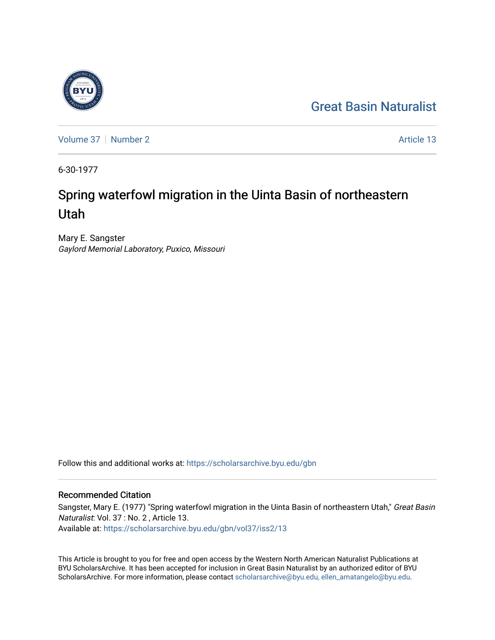## [Great Basin Naturalist](https://scholarsarchive.byu.edu/gbn)



[Volume 37](https://scholarsarchive.byu.edu/gbn/vol37) | [Number 2](https://scholarsarchive.byu.edu/gbn/vol37/iss2) Article 13

6-30-1977

# Spring waterfowl migration in the Uinta Basin of northeastern Utah

Mary E. Sangster Gaylord Memorial Laboratory, Puxico, Missouri

Follow this and additional works at: [https://scholarsarchive.byu.edu/gbn](https://scholarsarchive.byu.edu/gbn?utm_source=scholarsarchive.byu.edu%2Fgbn%2Fvol37%2Fiss2%2F13&utm_medium=PDF&utm_campaign=PDFCoverPages) 

### Recommended Citation

Sangster, Mary E. (1977) "Spring waterfowl migration in the Uinta Basin of northeastern Utah," Great Basin Naturalist: Vol. 37 : No. 2 , Article 13. Available at: [https://scholarsarchive.byu.edu/gbn/vol37/iss2/13](https://scholarsarchive.byu.edu/gbn/vol37/iss2/13?utm_source=scholarsarchive.byu.edu%2Fgbn%2Fvol37%2Fiss2%2F13&utm_medium=PDF&utm_campaign=PDFCoverPages) 

This Article is brought to you for free and open access by the Western North American Naturalist Publications at BYU ScholarsArchive. It has been accepted for inclusion in Great Basin Naturalist by an authorized editor of BYU ScholarsArchive. For more information, please contact [scholarsarchive@byu.edu, ellen\\_amatangelo@byu.edu.](mailto:scholarsarchive@byu.edu,%20ellen_amatangelo@byu.edu)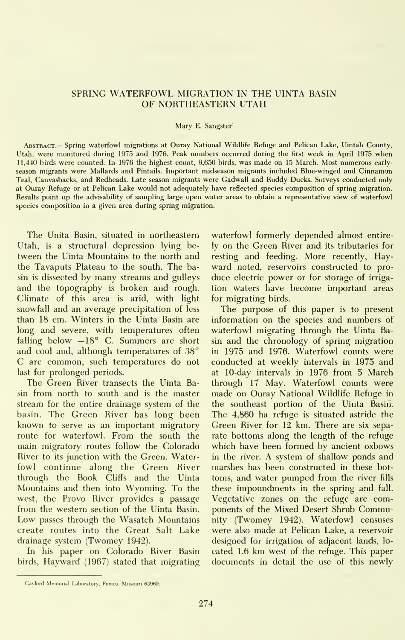#### SPRING WATERFOWL MIGRATION IN THE UINTA BASIN OF NORTHEASTERN UTAH

#### Mary E. Sangster'

Abstract.— Spring waterfowl migrations at Ouray National Wildlife Refuge and Pelican Lake, Uintah County, Utah, were monitored during 1975 and 1976. Peak numbers occurred during the first week in April 1975 when 11,440 birds were counted. In 1976 the highest count, 9,650 birds, was made on 15 March. Most numerous early season migrants were Mallards and Pintails. Important midseason migrants included Blue-winged and Cinnamon Teal, Canvasbacks, and Redheads. Late season migrants were Gadwall and Ruddy Ducks. Surveys conducted only at Ouray Refuge or at Pelican Lake would not adequately have reflected species composition of spring migration. Results point up the advisability of sampling large open water areas to obtain a representative view of waterfowl species composition in a given area during spring migration.

The Unita Basin, situated in northeastern Utah, is a structural depression lying be tween the Uinta Mountains to the north and the Tavaputs Plateau to the south. The basin is dissected by many streams and gulleys and the topography is broken and rough. Climate of this area is arid, with light snowfall and an average precipitation of less than 18 cm. Winters in the Uinta Basin are long and severe, with temperatures often falling below  $-18^\circ$  C. Summers are short and cool and, although temperatures of 38° C are common, such temperatures do not last for prolonged periods.

The Green River transects the Uinta Basin from north to south and is the master stream for the entire drainage system of the basin. The Green River has long been known to serve as an important migratory route for waterfowl. From the south the main migratory routes follow the Colorado River to its junction with the Green. Waterfowl continue along the Green River through the Book Cliffs and the Uinta Mountains and then into Wyoming. To the west, the Provo River provides a passage from the western section of the Uinta Basin. Low passes through the Wasatch Mountains create routes into the Great Salt Lake drainage system (Twomey 1942).

In his paper on Colorado River Basin birds. Hayward (1967) stated that migrating

waterfowl formerly depended almost entirely on the Green River and its tributaries for resting and feeding. More recently. Hay ward noted, reservoirs constructed to pro duce electric power or for storage of irriga tion waters have become important areas for migrating birds.

The purpose of this paper is to present information on the species and numbers of waterfowl migrating through the Uinta Basin and the chronology of spring migration in 1975 and 1976. Waterfowl counts were conducted at weekly intervals in 1975 and at 10-day intervals in 1976 from 5 March through 17 May. Waterfowl counts were made on Ouray National Wildlife Refuge in the southeast portion of the Uinta Basin. The 4,860 ha refuge is situated astride the Green River for 12 km. There are six separate bottoms along the length of the refuge which have been formed by ancient oxbows in the river. A system of shallow ponds and marshes has been constructed in these bot toms, and water pumped from the river fills these impoundments in the spring and fall. Vegetative zones on the refuge are components of the Mixed Desert Shrub Community (Twomey 1942). Waterfowl censuses were also made at Pelican Lake, a reservoir designed for irrigation of adjacent lands, located 1.6 km west of the refuge. This paper documents in detail the use of this newly

<sup>&#</sup>x27;Gaylord Memorial Laboratory, Puxico, Missouri 63960.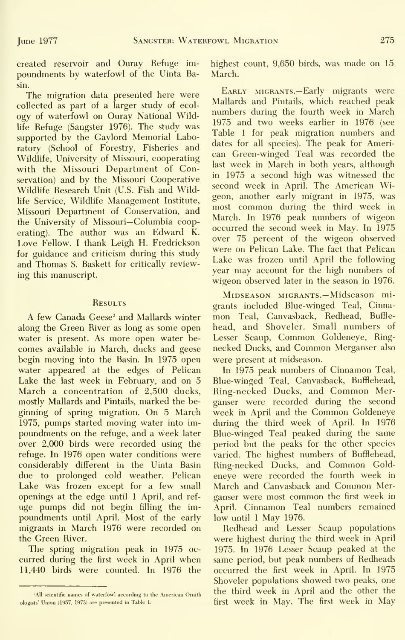created reservoir and Ouray Refuge im poundments by waterfowl of the Uinta Basin.

The migration data presented here were collected as part of a larger study of ecol ogy of waterfowl on Ouray National Wildlife Refuge (Sangster 1976). The study was supported by the Gaylord Memorial Laboratory (School of Forestry, Fisheries and Wildlife, University of Missouri, cooperating with the Missouri Department of Conservation) and by the Missouri Cooperative Wildlife Research Unit (U.S. Fish and Wildlife Service, Wildlife Management Institute, Missouri Department of Conservation, and the University of Missouri—Columbia cooperating). The author was an Edward K. Love Fellow. <sup>I</sup> thank Leigh H. Fredrickson for guidance and criticism during this study and Thomas S. Baskett for critically reviewing this manuscript.

#### **RESULTS**

A few Canada Geese<sup>2</sup> and Mallards winter along the Green River as long as some open water is present. As more open water becomes available in March, ducks and geese begin moving into the Basin. In 1975 open water appeared at the edges of Pelican Lake the last week in February, and on 5 March a concentration of 2,500 ducks, mostly Mallards and Pintails, marked the be ginning of spring migration. On 5 March 1975, pumps started moving water into im poundments on the refuge, and a week later over 2,000 birds were recorded using the refuge. In 1976 open water conditions were considerably different in the Uinta Basin due to prolonged cold weather. Pelican Lake was frozen except for a few small openings at the edge until <sup>1</sup> April, and ref uge pumps did not begin filling the im poundments until April. Most of the early migrants in March 1976 were recorded on the Green River.

The spring migration peak in 1975 oc curred during the first week in April when 11,440 birds were counted. In 1976 the highest count, 9,650 birds, was made on 15 March.

Early migrants.—Early migrants were Mallards and Pintails, which reached peak numbers during the fourth week in March 1975 and two weeks earlier in 1976 (see Table 1 for peak migration numbers and dates for all species). The peak for American Green-winged Teal was recorded the last week in March in both years, although in 1975 a second high was witnessed the second week in April. The American Wigeon, another early migrant in 1975, was most common during the third week in March. In 1976 peak numbers of wigeon occurred the second week in May. In 1975 over 75 percent of the wigeon observed were on Pelican Lake. The fact that Pelican Lake was frozen until April the following year may account for the high numbers of wigeon observed later in the season in 1976.

MiDSEASON MIGRANTS.— Midseason migrants included Blue-winged Teal, Cinna mon Teal, Canvasback, Redhead, Buffle head, and Shoveler. Small numbers of Lesser Scaup, Common Goldeneye, Ring necked Ducks, and Common Merganser also were present at midseason.

In 1975 peak numbers of Cinnamon Teal, Blue-winged Teal, Canvasback, Bufflehead, Ring-necked Ducks, and Common Merganser were recorded during the second week in April and the Common Goldeneye during the third week of April. In 1976 Blue-winged Teal peaked during the same period but the peaks for the other species varied. The highest numbers of Bufflehead, Ring-necked Ducks, and Common Gold eneye were recorded the fourth week in March and Canvasback and Common Merganser were most common the first week in April. Cinnamon Teal numbers remained low until <sup>1</sup> May 1976.

Redhead and Lesser Scaup populations were highest during the third week in April 1975. In 1976 Lesser Scaup peaked at the same period, but peak numbers of Redheads occurred the first week in April. In 1975 Shoveler populations showed two peaks, one the third week in April and the other the first week in May. The first week in May

All scientific names of waterfowl according to the American Ornith ologists' Union (1957, 1973) are presented in Table 1.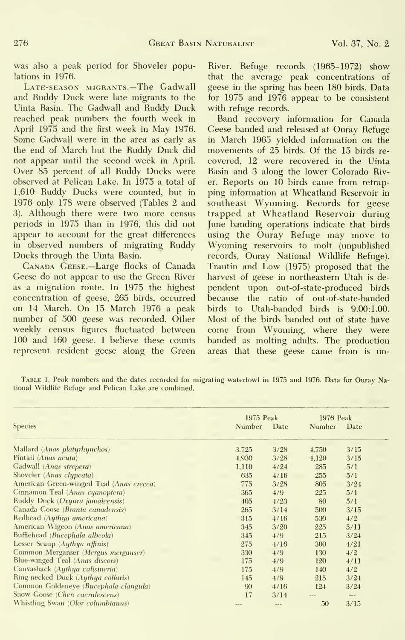was also a peak period for Shoveler populations in 1976.

Late-season migrants.—The Gadwall and Ruddy Duck were late migrants to the Uinta Basin. The Gadwall and Ruddy Duck reached peak numbers the fourth week in April 1975 and the first week in May 1976. Some Gadwall were in the area as early as the end of March but the Ruddy Duck did not appear until the second week in April. Over 85 percent of all Ruddy Ducks were observed at Pelican Lake. In 1975 a total of 1,610 Ruddy Ducks were counted, but in 1976 only 178 were observed (Tables 2 and 3). Although there were two more census periods in 1975 than in 1976, this did not appear to account for the great differences in observed numbers of migrating Ruddy Ducks through the Uinta Basin.

Canada Geese.—Large flocks of Canada Geese do not appear to use the Green River as a migration route. In 1975 the highest concentration of geese, 265 birds, occurred on <sup>14</sup> March. On 15 March 1976 <sup>a</sup> peak number of 500 geese was recorded. Other weekly census figures fluctuated between 100 and 160 geese. <sup>I</sup> believe these counts represent resident geese along the Green

River. Refuge records (1965-1972) show that the average peak concentrations of geese in the spring has been 180 birds. Data for 1975 and 1976 appear to be consistent with refuge records.

Band recovery information for Canada Geese banded and released at Ouray Refuge in March 1965 yielded information on the movements of 25 birds. Of the 15 birds re covered, 12 were recovered in the Uinta Basin and 3 along the lower Colorado River. Reports on 10 birds came from retrap ping information at Wheatland Reservoir in southeast Wyoming. Records for geese trapped at Wheatland Reservoir during June banding operations indicate that birds using the Ouray Refuge may move to Wyoming reservoirs to molt (unpublished records, Ouray National Wildlife Refuge). Trautin and Low (1975) proposed that the harvest of geese in northeastern Utah is de pendent upon out-of-state-produced birds because the ratio of out-of-state-banded birds to Utah-banded birds is 9.00:1.00. Most of the birds banded out of state have come from Wyoming, where they were banded as molting adults. The production areas that these geese came from is un-

Table 1. Peak numbers and the dates recorded for migrating waterfowl in 1975 and 1976. Data for Ouray National Wildlife Refuge and Pelican Lake are combined.

| 1975 Peak |      | 1976 Peak |      |
|-----------|------|-----------|------|
| Number    | Date | Number    | Date |
|           |      |           |      |
| 3,725     | 3/28 | 4,750     | 3/15 |
| 4.930     | 3/28 | 4.120     | 3/15 |
| 1.110     | 4/24 | 285       | 5/1  |
| 635       | 4/16 | 255       | 5/1  |
| 775       | 3/28 | 805       | 3/24 |
| 365       | 4/9  | 225       | 5/1  |
| 405       | 4/23 | 80        | 5/1  |
| 265       | 3/14 | 500       | 3/15 |
| 315       | 4/16 | 530       | 4/2  |
| 345       | 3/20 | 225       | 5/11 |
| 345       | 4/9  | 215       | 3/24 |
| 275       | 4/16 | 300       | 4/21 |
| 330       | 4/9  | 130       | 4/2  |
| 175       | 4/9  | 120       | 4/11 |
| 175       | 4/9  | 140       | 4/2  |
| 145       | 4/9  | 215       | 3/24 |
| 90        | 4/16 | 124       | 3/24 |
| 17        | 3/14 |           | ---  |
| $- -$     | ---  | 50        | 3/15 |
|           |      |           |      |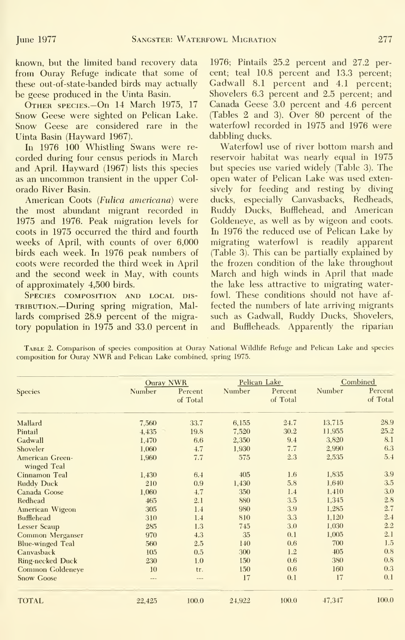known, but the limited band recovery data from Ouray Refuge indicate that some of these out-of-state-banded birds may actually be geese produced in the Uinta Basin.

Other species.—On <sup>14</sup> March 1975, <sup>17</sup> Snow Geese were sighted on Pelican Lake. Snow Geese are considered rare in the Uinta Basin (Hayward 1967).

In 1976 100 Whistling Swans were re corded during four census periods in March and April. Hayward (1967) lists this species as an uncommon transient in the upper Col orado River Basin.

American Coots (Fulica americana) were the most abundant migrant recorded in 1975 and 1976. Peak migration levels for coots in 1975 occurred the third and fourth weeks of April, with counts of over 6,000 birds each week. In 1976 peak numbers of coots were recorded the third week in April and the second week in May, with counts of approximately 4,500 birds.

Species composition and local dis- TRIBUTION.—During spring migration, Mallards comprised 28.9 percent of the migratory population in 1975 and 33.0 percent in

1976; Pintails 25.2 percent and 27.2 percent; teal 10.8 percent and 13.3 percent; Gadwall 8.1 percent and 4.1 percent; Shovelers 6.3 percent and 2.5 percent; and Canada Geese 3.0 percent and 4.6 percent (Tables 2 and 3). Over 80 percent of the waterfowl recorded in 1975 and 1976 were dabbling ducks.

Waterfowl use of river bottom marsh and reservoir habitat was nearly equal in 1975 but species use varied widely (Table 3). The open water of Pelican Lake was used extensively for feeding and resting by diving ducks, especially Canvasbacks, Redheads, Ruddy Ducks, Bufflehead, and American Goldeneye, as well as by wigeon and coots. In 1976 the reduced use of Pelican Lake by migrating waterfowl is readily apparent (Table 3). This can be partially explained by the frozen condition of the lake throughout March and high winds in April that made the lake less attractive to migrating waterfowl. These conditions should not have af fected the numbers of late arriving migrants such as Gadwall, Ruddy Ducks, Shovelers, and Buffleheads. Apparently the riparian

Table 2. Comparison of species composition at Ouray National Wildlife Refuge and Pelican Lake and species composition for Ouray NWR and Pelican Lake combined, spring 1975.

|                                       |               | <b>Ouray NWR</b>    |        | Pelican Lake        | Combined |                     |
|---------------------------------------|---------------|---------------------|--------|---------------------|----------|---------------------|
| Species                               | Number        | Percent<br>of Total | Number | Percent<br>of Total | Number   | Percent<br>of Total |
| Mallard                               | 7,560         | 33.7                | 6,155  | 24.7                | 13,715   | 28.9                |
| Pintail                               | 4,435         | 19.8                | 7,520  | 30.2                | 11,955   | 25.2                |
| Gadwall                               | 1,470         | 6.6                 | 2,350  | 9.4                 | 3,820    | 8.1                 |
| Shoveler                              | 1,060         | 4.7                 | 1,930  | 7.7                 | 2,990    | 6.3                 |
| <b>American Green-</b><br>winged Teal | 1,960         | 7.7                 | 575    | 2.3                 | 2,535    | 5.4                 |
| Cinnamon Teal                         | 1,430         | 6.4                 | 405    | 1.6                 | 1,835    | 3.9                 |
| <b>Ruddy Duck</b>                     | 210           | 0.9                 | 1,430  | 5.8                 | 1,640    | 3.5                 |
| Canada Goose                          | 1,060         | 4.7                 | 350    | 1.4                 | 1,410    | 3.0                 |
| Redhead                               | 465           | 2.1                 | 880    | 3.5                 | 1,345    | 2.8                 |
| American Wigeon                       | 305           | 1.4                 | 980    | 3.9                 | 1,285    | 2.7                 |
| <b>Bufflehead</b>                     | 310           | 1.4                 | 810    | 3.3                 | 1,120    | 2.4                 |
| <b>Lesser Scaup</b>                   | 285           | 1.3                 | 745    | 3.0                 | 1,030    | 2.2                 |
| Common Merganser                      | 970           | 4.3                 | 35     | 0.1                 | 1,005    | 2.1                 |
| <b>Blue-winged Teal</b>               | 560           | 2.5                 | 140    | 0.6                 | 700      | 1.5                 |
| Canvasback                            | 105           | 0.5                 | 300    | 1.2                 | 405      | 0.8                 |
| <b>Ring-necked Duck</b>               | 230           | 1.0                 | 150    | 0.6                 | 380      | 0.8                 |
| Common Goldeneye                      | 10            | tr.                 | 150    | 0.6                 | 160      | 0.3                 |
| Snow Goose                            | $\frac{1}{2}$ | $-$                 | 17     | 0.1                 | 17       | 0.1                 |
| <b>TOTAL</b>                          | 22,425        | 100.0               | 24,922 | 100.0               | 47,347   | 100.0               |